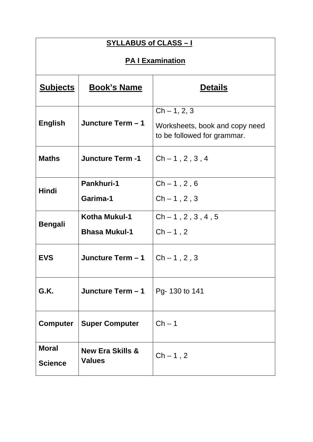| <b>SYLLABUS of CLASS-I</b>               |                                                           |                                                                                 |  |
|------------------------------------------|-----------------------------------------------------------|---------------------------------------------------------------------------------|--|
| <b>PA I Examination</b>                  |                                                           |                                                                                 |  |
| <u>Subjects</u>                          | <b>Book's Name</b>                                        | <b>Details</b>                                                                  |  |
| <b>English</b>                           | Juncture Term - 1                                         | $Ch - 1, 2, 3$<br>Worksheets, book and copy need<br>to be followed for grammar. |  |
| <b>Maths</b>                             | <b>Juncture Term -1</b>                                   | $Ch - 1, 2, 3, 4$                                                               |  |
| <b>Hindi</b>                             | <b>Pankhuri-1</b><br>Garima-1                             | $Ch - 1, 2, 6$<br>$Ch - 1, 2, 3$                                                |  |
| <b>Bengali</b>                           | <b>Kotha Mukul-1</b><br><b>Bhasa Mukul-1</b>              | $Ch-1, 2, 3, 4, 5$<br>$Ch-1, 2$                                                 |  |
| <b>EVS</b>                               | Juncture Term - 1                                         | $Ch - 1, 2, 3$                                                                  |  |
| G.K.<br>Juncture Term - 1                |                                                           | Pg-130 to 141                                                                   |  |
| <b>Super Computer</b><br><b>Computer</b> |                                                           | $Ch-1$                                                                          |  |
| <b>Moral</b><br><b>Science</b>           | <b>New Era Skills &amp;</b><br>$Ch-1, 2$<br><b>Values</b> |                                                                                 |  |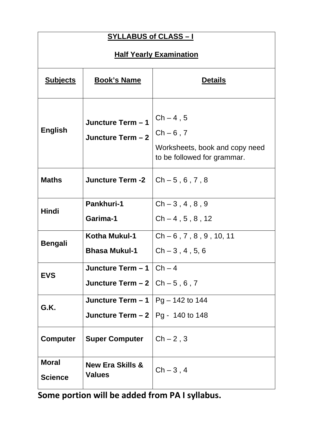| <b>SYLLABUS of CLASS-1</b>                                                                 |                                                                       |                                                                                            |  |
|--------------------------------------------------------------------------------------------|-----------------------------------------------------------------------|--------------------------------------------------------------------------------------------|--|
| <b>Half Yearly Examination</b>                                                             |                                                                       |                                                                                            |  |
| <b>Subjects</b>                                                                            | <b>Book's Name</b>                                                    | <b>Details</b>                                                                             |  |
| <b>English</b>                                                                             | Juncture Term - 1<br>Juncture Term - 2                                | $Ch-4, 5$<br>$Ch - 6$ , 7<br>Worksheets, book and copy need<br>to be followed for grammar. |  |
| <b>Maths</b>                                                                               | <b>Juncture Term -2</b>                                               | $Ch - 5, 6, 7, 8$                                                                          |  |
| Hindi                                                                                      | Pankhuri-1<br>Garima-1                                                | $Ch-3, 4, 8, 9$<br>$Ch-4, 5, 8, 12$                                                        |  |
| Bengali                                                                                    | Kotha Mukul-1<br><b>Bhasa Mukul-1</b>                                 | $Ch - 6$ , 7, 8, 9, 10, 11<br>$Ch - 3, 4, 5, 6$                                            |  |
| <b>EVS</b>                                                                                 | Juncture Term $-1$   Ch $-4$<br>Juncture Term $-2$ $ $ Ch $-5$ , 6, 7 |                                                                                            |  |
| <b>Juncture Term – 1</b>   Pg – 142 to 144<br>G.K.<br>Juncture Term $-2$   Pg - 140 to 148 |                                                                       |                                                                                            |  |
| <b>Super Computer</b><br><b>Computer</b>                                                   |                                                                       | $Ch-2, 3$                                                                                  |  |
| <b>Moral</b><br><b>Science</b>                                                             | <b>New Era Skills &amp;</b><br><b>Values</b>                          | $Ch-3, 4$                                                                                  |  |

**Some portion will be added from PA I syllabus.**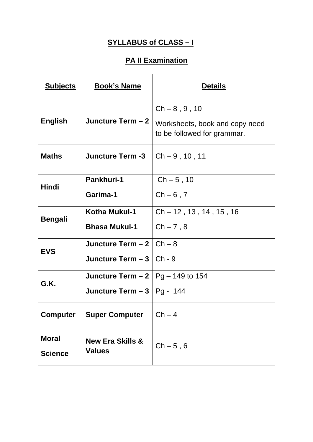| <b>SYLLABUS of CLASS-I</b>                                              |                                                         |                                                                                  |  |
|-------------------------------------------------------------------------|---------------------------------------------------------|----------------------------------------------------------------------------------|--|
| <b>PA II Examination</b>                                                |                                                         |                                                                                  |  |
| <b>Subjects</b>                                                         | <b>Book's Name</b>                                      | <b>Details</b>                                                                   |  |
| <b>English</b>                                                          | Juncture Term - 2                                       | $Ch - 8, 9, 10$<br>Worksheets, book and copy need<br>to be followed for grammar. |  |
| <b>Maths</b>                                                            | <b>Juncture Term -3</b>                                 | $Ch - 9, 10, 11$                                                                 |  |
| Pankhuri-1<br><b>Hindi</b><br>Garima-1                                  |                                                         | $Ch - 5, 10$<br>$Ch - 6$ , 7                                                     |  |
| <b>Bengali</b>                                                          | Kotha Mukul-1<br><b>Bhasa Mukul-1</b>                   | $Ch - 12$ , 13, 14, 15, 16<br>$Ch - 7, 8$                                        |  |
| <b>EVS</b>                                                              | Juncture Term $-2$ $\vert$ Ch $-8$<br>Juncture Term - 3 | Ch - 9                                                                           |  |
| <b>Juncture Term – 2</b>   Pg – 149 to 154<br>G.K.<br>Juncture Term - 3 |                                                         | $ Pg - 144$                                                                      |  |
| <b>Super Computer</b><br><b>Computer</b>                                |                                                         | $Ch-4$                                                                           |  |
| <b>Moral</b><br><b>Science</b>                                          | <b>New Era Skills &amp;</b><br><b>Values</b>            | $Ch - 5, 6$                                                                      |  |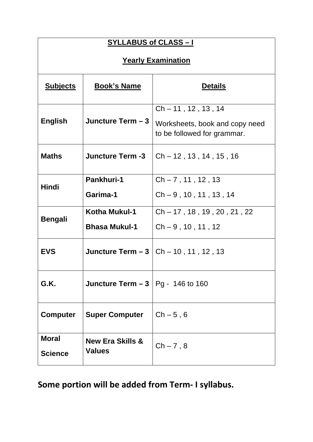| <b>SYLLABUS of CLASS-I</b>                         |                                              |                                                                                         |  |
|----------------------------------------------------|----------------------------------------------|-----------------------------------------------------------------------------------------|--|
| <b>Yearly Examination</b>                          |                                              |                                                                                         |  |
| <b>Subjects</b>                                    | <b>Book's Name</b>                           | <b>Details</b>                                                                          |  |
| <b>English</b>                                     | Juncture Term - 3                            | $Ch - 11$ , 12, 13, 14<br>Worksheets, book and copy need<br>to be followed for grammar. |  |
| <b>Maths</b>                                       | <b>Juncture Term -3</b>                      | $Ch - 12$ , 13, 14, 15, 16                                                              |  |
| <b>Hindi</b>                                       | Pankhuri-1<br>Garima-1                       | $Ch - 7, 11, 12, 13$<br>$Ch - 9, 10, 11, 13, 14$                                        |  |
| <b>Bengali</b>                                     | Kotha Mukul-1<br><b>Bhasa Mukul-1</b>        | $Ch - 17$ , 18, 19, 20, 21, 22<br>$Ch - 9, 10, 11, 12$                                  |  |
| <b>EVS</b>                                         |                                              | <b>Juncture Term - 3</b> $ $ Ch - 10, 11, 12, 13                                        |  |
| G.K.<br><b>Juncture Term – 3</b>   Pg - 146 to 160 |                                              |                                                                                         |  |
| <b>Computer</b><br><b>Super Computer</b>           |                                              | $Ch - 5, 6$                                                                             |  |
| <b>Moral</b><br><b>Science</b>                     | <b>New Era Skills &amp;</b><br><b>Values</b> | $Ch - 7, 8$                                                                             |  |

**Some portion will be added from Term- I syllabus.**